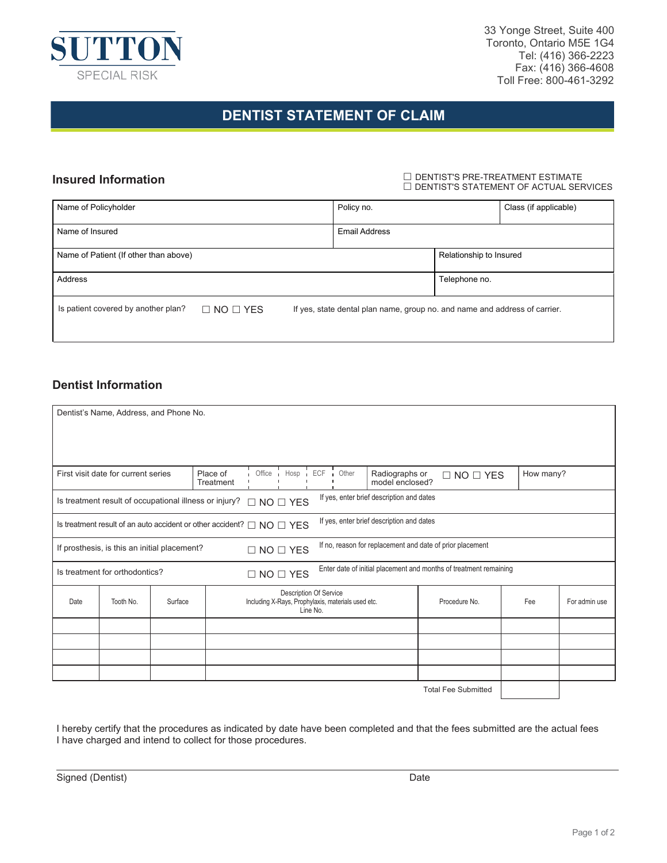

33 Yonge Street, Suite 400 Toronto, Ontario M5E 1G4 Tel: (416) 366-2223 Fax: (416) 366-4608 Toll Free: 800-461-3292

# **DENTIST STATEMENT OF CLAIM**

#### **Insured Information**

 DENTIST'S PRE-TREATMENT ESTIMATE  $\Box$  DENTIST'S STATEMENT OF ACTUAL SERVICES

| Name of Policyholder                  |                      | Policy no.                                                                 |                         | Class (if applicable) |
|---------------------------------------|----------------------|----------------------------------------------------------------------------|-------------------------|-----------------------|
| Name of Insured                       |                      | Email Address                                                              |                         |                       |
| Name of Patient (If other than above) |                      |                                                                            | Relationship to Insured |                       |
| Address                               |                      |                                                                            | Telephone no.           |                       |
| Is patient covered by another plan?   | $\Box$ NO $\Box$ YES | If yes, state dental plan name, group no. and name and address of carrier. |                         |                       |

### **Dentist Information**

| Dentist's Name, Address, and Phone No.                                                                                                  |           |         |                       |                                                                                          |  |                                   |                      |                            |  |  |
|-----------------------------------------------------------------------------------------------------------------------------------------|-----------|---------|-----------------------|------------------------------------------------------------------------------------------|--|-----------------------------------|----------------------|----------------------------|--|--|
|                                                                                                                                         |           |         |                       |                                                                                          |  |                                   |                      |                            |  |  |
| Place of<br>First visit date for current series<br>Treatment                                                                            |           |         | Office Hosp ECF Other |                                                                                          |  | Radiographs or<br>model enclosed? | $\Box$ NO $\Box$ YES | How many?                  |  |  |
| If yes, enter brief description and dates<br>Is treatment result of occupational illness or injury?<br>$NO \square$ YES<br>П            |           |         |                       |                                                                                          |  |                                   |                      |                            |  |  |
| If yes, enter brief description and dates<br>Is treatment result of an auto accident or other accident? $\Box$ NO $\Box$ YES            |           |         |                       |                                                                                          |  |                                   |                      |                            |  |  |
| If no, reason for replacement and date of prior placement<br>If prosthesis, is this an initial placement?<br>$\square$ NO $\square$ YES |           |         |                       |                                                                                          |  |                                   |                      |                            |  |  |
| Enter date of initial placement and months of treatment remaining<br>Is treatment for orthodontics?<br>$\square$ NO $\square$ YES       |           |         |                       |                                                                                          |  |                                   |                      |                            |  |  |
| Date                                                                                                                                    | Tooth No. | Surface |                       | Description Of Service<br>Including X-Rays, Prophylaxis, materials used etc.<br>Line No. |  | Procedure No.                     | Fee                  | For admin use              |  |  |
|                                                                                                                                         |           |         |                       |                                                                                          |  |                                   |                      |                            |  |  |
|                                                                                                                                         |           |         |                       |                                                                                          |  |                                   |                      |                            |  |  |
|                                                                                                                                         |           |         |                       |                                                                                          |  |                                   |                      |                            |  |  |
|                                                                                                                                         |           |         |                       |                                                                                          |  |                                   |                      |                            |  |  |
|                                                                                                                                         |           |         |                       |                                                                                          |  |                                   |                      | <b>Total Fee Submitted</b> |  |  |

I hereby certify that the procedures as indicated by date have been completed and that the fees submitted are the actual fees I have charged and intend to collect for those procedures.